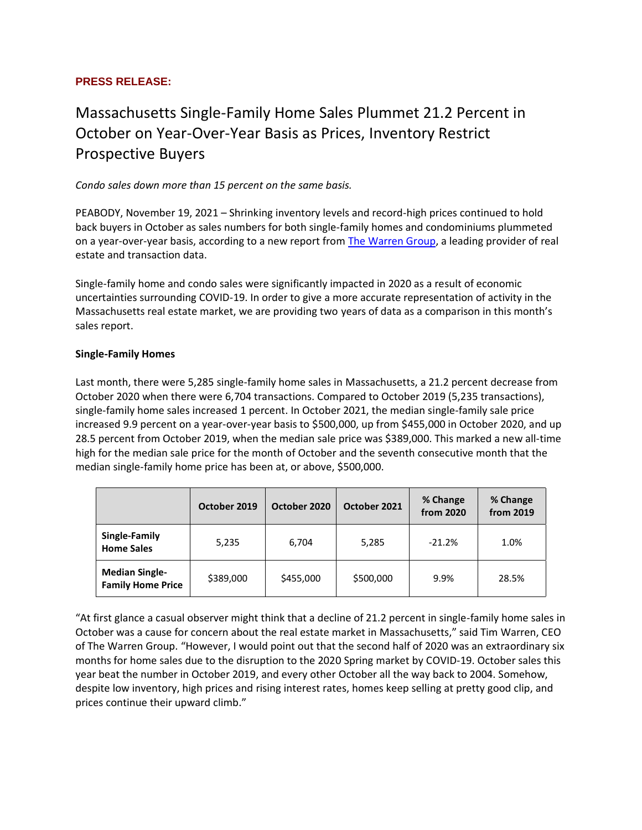## **PRESS RELEASE:**

# Massachusetts Single-Family Home Sales Plummet 21.2 Percent in October on Year-Over-Year Basis as Prices, Inventory Restrict Prospective Buyers

*Condo sales down more than 15 percent on the same basis.*

PEABODY, November 19, 2021 – Shrinking inventory levels and record-high prices continued to hold back buyers in October as sales numbers for both single-family homes and condominiums plummeted on a year-over-year basis, according to a new report from [The Warren Group,](https://www.thewarrengroup.com/) a leading provider of real estate and transaction data.

Single-family home and condo sales were significantly impacted in 2020 as a result of economic uncertainties surrounding COVID-19. In order to give a more accurate representation of activity in the Massachusetts real estate market, we are providing two years of data as a comparison in this month's sales report.

#### **Single-Family Homes**

Last month, there were 5,285 single-family home sales in Massachusetts, a 21.2 percent decrease from October 2020 when there were 6,704 transactions. Compared to October 2019 (5,235 transactions), single-family home sales increased 1 percent. In October 2021, the median single-family sale price increased 9.9 percent on a year-over-year basis to \$500,000, up from \$455,000 in October 2020, and up 28.5 percent from October 2019, when the median sale price was \$389,000. This marked a new all-time high for the median sale price for the month of October and the seventh consecutive month that the median single-family home price has been at, or above, \$500,000.

|                                                   | October 2019 | October 2020 | October 2021 | % Change<br>from 2020 | % Change<br>from 2019 |
|---------------------------------------------------|--------------|--------------|--------------|-----------------------|-----------------------|
| Single-Family<br><b>Home Sales</b>                | 5,235        | 6,704        | 5,285        | $-21.2%$              | 1.0%                  |
| <b>Median Single-</b><br><b>Family Home Price</b> | \$389,000    | \$455,000    | \$500,000    | 9.9%                  | 28.5%                 |

"At first glance a casual observer might think that a decline of 21.2 percent in single-family home sales in October was a cause for concern about the real estate market in Massachusetts," said Tim Warren, CEO of The Warren Group. "However, I would point out that the second half of 2020 was an extraordinary six months for home sales due to the disruption to the 2020 Spring market by COVID-19. October sales this year beat the number in October 2019, and every other October all the way back to 2004. Somehow, despite low inventory, high prices and rising interest rates, homes keep selling at pretty good clip, and prices continue their upward climb."